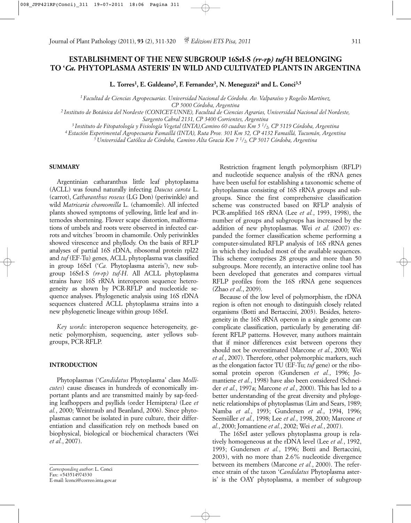# **ESTABLISHMENT OF THE NEW SUBGROUP 16SrI-S** *(rr-rp) tuf-***H BELONGING TO '***Ca.* **PHYTOPLASMA ASTERIS' IN WILD AND CULTIVATED PLANTS IN ARGENTINA**

**L. Torres1, E. Galdeano2, F. Fernandez3, N. Meneguzzi4 and L. Conci3,5**

*1 Facultad de Ciencias Agropecuarias. Universidad Nacional de Córdoba. Av. Valparaíso y Rogelio Martínez,* 

*CP 5000 Córdoba, Argentina*

*2 Instituto de Botánica del Nordeste (CONICET-UNNE), Facultad de Ciencias Agrarias, Universidad Nacional del Nordeste, Sargento Cabral 2131, CP 3400 Corrientes, Argentina*

*3 Instituto de Fitopatología y Fisiología Vegetal (INTA),Camino 60 cuadras Km 5 1/2, CP 5119 Córdoba, Argentina*

*4 Estación Experimental Agropecuaria Famaillá (INTA), Ruta Prov. 301 Km 32, CP 4132 Famaillá, Tucumán, Argentina*

*5 Universidad Católica de Córdoba, Camino Alta Gracia Km 7 1/2, CP 5017 Córdoba, Argentina*

## **SUMMARY**

Argentinian catharanthus little leaf phytoplasma (ACLL) was found naturally infecting *Daucus carota* L. (carrot), *Catharanthus roseus* (LG Don) (periwinkle) and wild *Matricaria chamomilla* L. (chamomile). All infected plants showed symptoms of yellowing, little leaf and internodes shortening. Flower scape distortion, malformations of umbels and roots were observed in infected carrots and witches*´* broom in chamomile. Only periwinkles showed virescence and phyllody. On the basis of RFLP analyses of partial 16S rDNA, ribosomal protein rpl22 and *tuf* (EF-Tu) genes, ACLL phytoplasma was classified in group 16SrI ('*Ca.* Phytoplasma asteris'), new subgroup 16SrI-S *(rr-rp) tuf-H*. All ACLL phytoplasma strains have 16S rRNA interoperon sequence heterogeneity as shown by PCR-RFLP and nucleotide sequence analyses. Phylogenetic analysis using 16S rDNA sequences clustered ACLL phytoplasma strains into a new phylogenetic lineage within group 16SrI.

*Key words*: interoperon sequence heterogeneity, genetic polymorphism, sequencing, aster yellows subgroups, PCR-RFLP.

### **INTRODUCTION**

Phytoplasmas ('*Candidatus* Phytoplasma' class *Mollicutes*) cause diseases in hundreds of economically important plants and are transmitted mainly by sap-feeding leafhoppers and psyllids (order Hemiptera*)* (Lee *et al.*, 2000; Weintraub and Beanland, 2006). Since phytoplasmas cannot be isolated in pure culture, their differentiation and classification rely on methods based on biophysical, biological or biochemical characters (Wei *et al.*, 2007).

Restriction fragment length polymorphism (RFLP) and nucleotide sequence analysis of the rRNA genes have been useful for establishing a taxonomic scheme of phytoplasmas consisting of 16S rRNA groups and subgroups. Since the first comprehensive classification scheme was constructed based on RFLP analysis of PCR-amplified 16S rRNA (Lee *et al.*, 1993, 1998), the number of groups and subgroups has increased by the addition of new phytoplasmas. Wei *et al.* (2007) expanded the former classification scheme performing a computer-simulated RFLP analysis of 16S rRNA genes in which they included most of the available sequences. This scheme comprises 28 groups and more than 50 subgroups. More recently, an interactive online tool has been developed that generates and compares virtual RFLP profiles from the 16S rRNA gene sequences (Zhao *et al*., 2009).

Because of the low level of polymorphism, the rDNA region is often not enough to distinguish closely related organisms (Botti and Bertaccini, 2003). Besides, heterogeneity in the 16S rRNA operon in a single genome can complicate classification, particularly by generating different RFLP patterns. However, many authors maintain that if minor differences exist between operons they should not be overestimated (Marcone *et al.*, 2000; Wei *et al.*, 2007). Therefore, other polymorphic markers, such as the elongation factor TU (EF-Tu; *tuf* gene) or the ribosomal protein operon (Gundersen *et al.*, 1996; Jomantiene *et al.*, 1998) have also been considered (Schneider *et al.*, 1997a; Marcone *et al.*, 2000). This has led to a better understanding of the great diversity and phylogenetic relationships of phytoplasmas (Lim and Sears, 1989; Namba *et al.*, 1993; Gundersen *et al.*, 1994, 1996; Seemüller *et al.*, 1998; Lee *et al.*, 1998, 2000; Marcone *et al.*, 2000; Jomantiene *et al.*, 2002; Wei *et al.*, 2007).

The 16SrI aster yellows phytoplasma group is relatively homogeneous at the rDNA level (Lee *et al.*, 1992, 1993; Gundersen *et al.*, 1996; Botti and Bertaccini, 2003), with no more than 2.6% nucleotide divergence between its members (Marcone *et al.*, 2000). The reference strain of the taxon '*Candidatus* Phytoplasma asteris' is the OAY phytoplasma, a member of subgroup

*Corresponding author*: L. Conci Fax: +543514974330 E-mail: lconci@correo.inta.gov.ar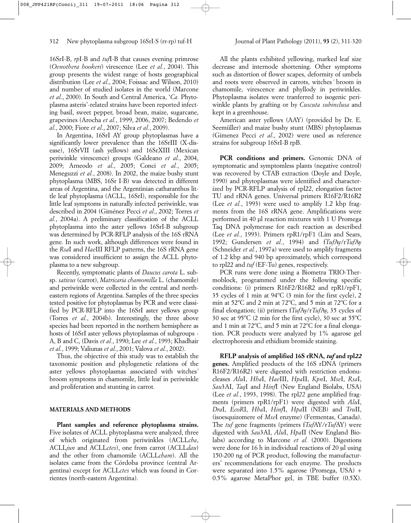16SrI-B, *rp*I-B and *tuf*I-B that causes evening primrose (*Oenothera hookeri*) virescence (Lee *et al.*, 2004). This group presents the widest range of hosts geographical distribution (Lee *et al*., 2004; Foissac and Wilson, 2010) and number of studied isolates in the world (Marcone *et al*., 2000). In South and Central America, '*Ca.* Phytoplasma asteris'-related strains have been reported infecting basil, sweet pepper, broad bean, maize, sugarcane, grapevines (Arocha *et al.*, 1999, 2006, 2007; Bedendo *et al*., 2000; Fiore *et al*., 2007; Silva *et al.*, 2009).

In Argentina, 16SrI AY group phytoplasmas have a significantly lower prevalence than the 16SrIII (X-disease), 16SrVII (ash yellows) and 16SrXIII (Mexican periwinkle virescence) groups (Galdeano *et al*., 2004, 2009; Arneodo *et al*., 2005; Conci *et al.*, 2005; Meneguzzi *et al.*, 2008). In 2002, the maize bushy stunt phytoplasma (MBS, 16Sr I-B) was detected in different areas of Argentina, and the Argentinian catharanthus little leaf phytoplasma (ACLL, 16SrI), responsible for the little leaf symptoms in naturally infected periwinkle, was described in 2004 (Giménez Pecci *et al*., 2002; Torres *et al.*, 2004a). A preliminary classification of the ACLL phytoplasma into the aster yellows 16SrI-B subgroup was determined by PCR-RFLP analysis of the 16S rRNA gene. In such work, although differences were found in the *Rsa*I and *Hae*III RFLP patterns, the 16S rRNA gene was considered insufficient to assign the ACLL phytoplasma to a new subgroup.

Recently, symptomatic plants of *Daucus carota* L. subsp. *sativus* (carrot), *Matricaria chamomilla* L. (chamomile) and periwinkle were collected in the central and northeastern regions of Argentina. Samples of the three species tested positive for phytoplasmas by PCR and were classified by PCR-RFLP into the 16SrI aster yellows group (Torres *et al.*, 2004b). Interestingly, the three above species had been reported in the northern hemisphere as hosts of 16SrI aster yellows phytoplasmas of subgroups - A, B and C, (Davis *et al.*, 1990; Lee *et al.*, 1993; Khadhair *et al.*, 1999; Valiunas *et al.*, 2001; Valova *et al.*, 2002).

Thus, the objective of this study was to establish the taxonomic position and phylogenetic relations of the aster yellows phytoplasmas associated with witches*'* broom symptoms in chamomile, little leaf in periwinkle and proliferation and stunting in carrot*.*

#### **MATERIALS AND METHODS**

**Plant samples and reference phytoplasma strains.** Five isolates of ACLL phytoplasma were analyzed, three of which originated from periwinkles (ACLL*cba*, ACLL*jun* and ACLL*ctes*), one from carrot (ACLL*dau*) and the other from chamomile (ACLL*cham*). All the isolates came from the Córdoba province (central Argentina) except for ACLL*ctes* which was found in Corrientes (north-eastern Argentina).

All the plants exhibited yellowing, marked leaf size decrease and internode shortening. Other symptoms such as distortion of flower scapes, deformity of umbels and roots were observed in carrots, witches*´* broom in chamomile, virescence and phyllody in periwinkles. Phytoplasma isolates were tranferred to isogenic periwinkle plants by grafting or by *Cuscuta subinclusa* and kept in a greenhouse.

American aster yellows (AAY) (provided by Dr. E. Seemüller) and maize bushy stunt (MBS) phytoplasmas (Gimenez Pecci *et al*., 2002) were used as reference strains for subgroup 16SrI-B rpB.

**PCR conditions and primers.** Genomic DNA of symptomatic and symptomless plants (negative control) was recovered by CTAB extraction (Doyle and Doyle, 1990) and phytoplasmas were identified and characterized by PCR-RFLP analysis of rpl22, elongation factor TU and rRNA genes. Universal primers R16F2/R16R2 (Lee *et al.*, 1993) were used to amplify 1.2 kbp fragments from the 16S rRNA gene. Amplifications were performed in 40 µl reaction mixtures with 1 U Promega Taq DNA polymerase for each reaction as described (Lee *et al.*, 1993). Primers rpR1/rpF1 (Lim and Sears, 1992; Gundersen *et al.*, 1994) and f*Tuf*Ay/r*Tuf*Ay (Schneider *et al.*, 1997a) were used to amplify fragments of 1.2 kbp and 940 bp aproximately, which correspond to rpl22 and *tuf* (EF-Tu) genes, respectively.

PCR runs were done using a Biometra TRIO-Thermoblock, programmed under the following specific conditions: (i) primers R16F2/R16R2 and rpR1/rpF1, 35 cycles of 1 min at 94ºC (3 min for the first cycle), 2 min at 52ºC and 2 min at 72ºC, and 5 min at 72ºC for a final elongation; (ii) primers f*Tuf*Ay/r*Tuf*Ay, 35 cycles of 30 sec at 95 $\degree$ C (2 min for the first cycle), 30 sec at 55 $\degree$ C and 1 min at 72ºC, and 5 min at 72ºC for a final elongation. PCR products were analyzed by 1% agarose gel electrophoresis and ethidium bromide staining.

**RFLP analysis of amplified 16S rRNA,** *tuf* **and rpl***22* **genes.** Amplified products of the 16S rDNA (primers R16F2/R16R2) were digested with restriction endonucleases *Alu*I, *Hha*I, *Hae*III, *Hpa*II, *Kpn*I, *Mse*I, *Rsa*I, *Sau*3AI, *Taq*I and *Hinf*I (New England Biolabs, USA) (Lee *et al.*, 1993, 1998). The rpl*22* gene amplified fragments (primers rpR1/rpF1) were digested with *Alu*I, *Dra*I, *EcoR*I, *Hha*I, *Hinf*I, *Hpa*II (NEB) and *Tru*II, (isoesquizomere of *Mse*I enzyme) (Fermentas, Canada). The *tuf* gene fragments (primers f*Tuf*AY/r*Tuf*AY) were digested with *Sau*3AI, *Alu*I, *Hpa*II (New England Biolabs) according to Marcone *et al.* (2000). Digestions were done for 16 h in individual reactions of 20 µl using 150-200 ng of PCR product, following the manufacturers' recommendations for each enzyme. The products were separated into 1.5% agarose (Promega, USA) + 0.5% agarose MetaPhor gel, in TBE buffer (0.5X).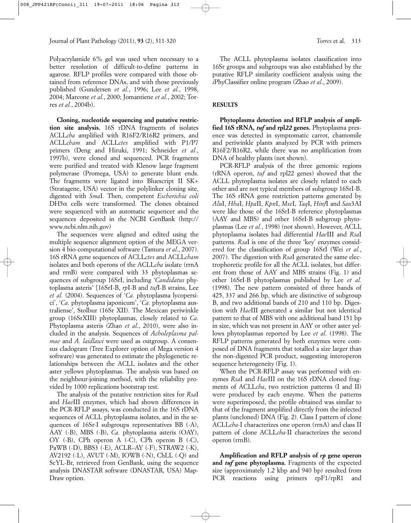Polyacrylamide 6% gel was used when necessary to a better resolution of difficult-to-define patterns in agarose. RFLP profiles were compared with those obtained from reference DNAs, and with those previously published (Gundersen *et al.*, 1996; Lee *et al.*, 1998, 2004; Marcone *et al.*, 2000; Jomantiene *et al.*, 2002; Torres *et al*., 2004b).

**Cloning, nucleotide sequencing and putative restriction site analysis.** 16S rDNA fragments of isolates ACLL*cba* amplified with R16F2/R16R2 primers, and ACLL*cham* and ACLL*ctes* amplified with P1/P7 primers (Deng and Hiruki, 1991; Schneider *et al.*, 1997b), were cloned and sequenced. PCR fragments were purified and treated with Klenow large fragment polymerase (Promega, USA) to generate blunt ends. The fragments were ligated into Bluescript II SK+ (Stratagene, USA) vector in the polylinker cloning site, digested with *Sma*I*.* Then, competent *Escherichia coli*  $DH5\alpha$  cells were transformed. The clones obtained were sequenced with an automatic sequencer and the sequences deposited in the NCBI GenBank (http:// www.ncbi.nlm.nih.gov)

The sequences were aligned and edited using the multiple sequence alignment option of the MEGA version 4 bio-computational software (Tamura *et al*., 2007). 16S rRNA gene sequences of ACLL*ctes* and ACLL*cham* isolates and both operons of the ACLL*cba* isolate (rrnA and rrnB) were compared with 33 phytoplasmas sequences of subgroup 16SrI, including '*Candidatus* phytoplasma asteris' [16SrI-B, *rp*I-B and *tuf*I-B strains, Lee *et al.* (2004). Sequences of '*Ca.* phytoplasma lycopersici', '*Ca.* phytoplasma japonicum', '*Ca.* phytoplasma australiense', Stolbur (16Sr XII). The Mexican periwinkle group (16SrXIII) phytoplasmas, closely related to *Ca*. Phytoplasma asteris (Zhao *et al*., 2010), were also included in the analysis. Sequences of *Acholeplasma palmae* and *A. laidlawi* were used as outgroup. A consensus cladogram (Tree Explorer option of Mega version 4 software) was generated to estimate the phylogenetic relationships between the ACLL isolates and the other aster yellows phytoplasmas. The analysis was based on the neighbour-joining method, with the reliability provided by 1000 replications bootstrap test.

The analysis of the putative restriction sites for *Rsa*I and *Hae*III enzymes, which had shown differences in the PCR-RFLP assays, was conducted in the 16S rDNA sequences of ACLL phytoplasma isolates, and in the sequences of 16Sr-I subgroups representatives BB (-A), AAY (-B), MBS (-B), *Ca.* phytoplasma asteris (OAY), OY (-B), CPh operon A (-C), CPh operon B (-C), PaWB (-D), BBS3 (-E), ACLR–AY (-F), STRAW2 (-K), AV2192 (-L), AVUT (-M), IOWB (-N), ChLL (-Q) and ScYL-Br, retrieved from GenBank, using the sequence analysis DNASTAR software (DNASTAR, USA) Map-Draw option.

The ACLL phytoplasma isolates classification into 16Sr groups and subgroups was also established by the putative RFLP similarity coefficient analysis using the *i*PhyClassifier online program (Zhao *et al*., 2009).

## **RESULTS**

**Phytoplasma detection and RFLP analysis of amplified 16S rRNA,** *tuf* **and rpl***22* **genes.** Phytoplasma presence was detected in symptomatic carrot, chamomile and periwinkle plants analyzed by PCR with primers R16F2/R16R2, while there was no amplification from DNA of healthy plants (not shown).

PCR-RFLP analysis of the three genomic regions (rRNA operon, *tuf* and rpl22 genes) showed that the ACLL phytoplasma isolates are closely related to each other and are not typical members of subgroup 16SrI-B. The 16S rRNA gene restriction patterns generated by *Alu*I, *Hha*I, *Hpa*II, *Kpn*I, *Mse*I, *Taq*I, *Hinf*I and *Sau*3AI were like those of the 16SrI-B reference phytoplasmas (AAY and MBS) and other 16SrI-B subgroup phytoplasmas (Lee *et al.*, 1998) (not shown). However, ACLL phytoplasma isolates had differential *Hae*III and *Rsa*I patterns. *Rsa*I is one of the three 'key' enzymes considered for the classification of group 16SrI (Wei *et al.*, 2007). The digestion with *Rsa*I generated the same electrophoretic profile for all the ACLL isolates, but different from those of AAY and MBS strains (Fig. 1) and other 16SrI-B phytoplasmas published by Lee *et al.* (1998). The new pattern consisted of three bands of 425, 337 and 266 bp, which are distinctive of subgroup B, and two additional bands of 210 and 110 bp. Digestion with *Hae*III generated a similar but not identical pattern to that of MBS with one additional band 151 bp in size, which was not present in AAY or other aster yellows phytoplasmas reported by Lee *et al*. (1998). The RFLP patterns generated by both enzymes were composed of DNA fragments that totalled a size larger than the non-digested PCR product, suggesting interoperon sequence heterogeneity (Fig. 1).

When the PCR-RFLP assay was performed with enzymes *Rsa*I and *Hae*III on the 16S rDNA cloned fragments of ACLL*cba*, two restriction patterns (I and II) were produced by each enzyme. When the patterns were superimposed, the profile obtained was similar to that of the fragment amplified directly from the infected plants (uncloned) DNA (Fig. 2). Class I pattern of clone ACLL*cba*-I characterizes one operon (rrnA) and class II pattern of clone ACLL*cba-*II characterizes the second operon (rrnB).

**Amplification and RFLP analysis of** *rp* **gene operon and** *tuf* **gene phytoplasma.** Fragments of the expected size (approximately 1.2 kbp and 940 bp) resulted from PCR reactions using primers rpF1/rpR1 and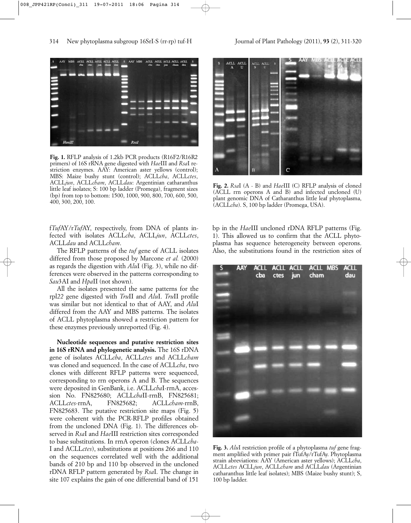

**Fig. 1.** RFLP analysis of 1.2kb PCR products (R16F2/R16R2 primers) of 16S rRNA gene digested with *Hae*III and *Rsa*I restriction enzymes. AAY: American aster yellows (control); MBS: Maize bushy stunt (control); ACLL*cba*, ACLL*ctes*, ACLL*jun*, ACLL*cham*, ACLL*dau*: Argentinian catharanthus little leaf isolates; S: 100 bp ladder (Promega), fragment sizes (bp) from top to bottom: 1500, 1000, 900, 800, 700, 600, 500, 400, 300, 200, 100.

f*Tuf*AY/r*Tuf*AY, respectively, from DNA of plants infected with isolates ACLL*cba*, ACLL*jun*, ACLL*ctes*, ACLL*dau* and ACLL*cham*.

The RFLP patterns of the *tuf* gene of ACLL isolates differed from those proposed by Marcone *et al.* (2000) as regards the digestion with *Alu*I (Fig. 3), while no differences were observed in the patterns corresponding to *Sau*3AI and *Hpa*II (not shown).

All the isolates presented the same patterns for the rpl*22* gene digested with *Tru*II and *Alu*I. *Tru*II profile was similar but not identical to that of AAY, and *Alu*I differed from the AAY and MBS patterns. The isolates of ACLL phytoplasma showed a restriction pattern for these enzymes previously unreported (Fig. 4).

**Nucleotide sequences and putative restriction sites in 16S rRNA and phylogenetic analysis.** The 16S rDNA gene of isolates ACLL*cba*, ACLL*ctes* and ACLL*cham* was cloned and sequenced. In the case of ACLL*cba*, two clones with different RFLP patterns were sequenced, corresponding to rrn operons A and B. The sequences were deposited in GenBank, i.e. ACLL*cba*I-rrnA, accession No. FN825680; ACLL*cba*II-rrnB, FN825681; ACLL*ctes-*rrnA, FN825682; ACLL*cham-*rrnB, FN825683. The putative restriction site maps (Fig. 5) were coherent with the PCR-RFLP profiles obtained from the uncloned DNA (Fig. 1). The differences observed in *Rsa*I and *Hae*III restriction sites corresponded to base substitutions. In rrnA operon (clones ACLL*cba*-I and ACLL*ctes*), substitutions at positions 266 and 110 on the sequences correlated well with the additional bands of 210 bp and 110 bp observed in the uncloned rDNA RFLP pattern generated by *Rsa*I. The change in site 107 explains the gain of one differential band of 151



**Fig. 2.** *Rsa*I (A - B) and *Hae*III (C) RFLP analysis of cloned (ACLL rrn operons A and B) and infected uncloned (U) plant genomic DNA of Catharanthus little leaf phytoplasma, (ACLL*cba*). S, 100 bp ladder (Promega, USA).

bp in the *Hae*III uncloned rDNA RFLP patterns (Fig. 1). This allowed us to confirm that the ACLL phytoplasma has sequence heterogeneity between operons. Also, the substitutions found in the restriction sites of



**Fig. 3.** *Alu*I restriction profile of a phytoplasma *tuf* gene fragment amplified with primer pair fTufAy/rTufAy. Phytoplasma strain abreviations: AAY (American aster yellows); ACLL*cba*, ACLL*ctes* ACLL*jun*, ACLL*cham* and ACLL*dau* (Argentinian catharanthus little leaf isolates); MBS (Maize bushy stunt); S, 100 bp ladder.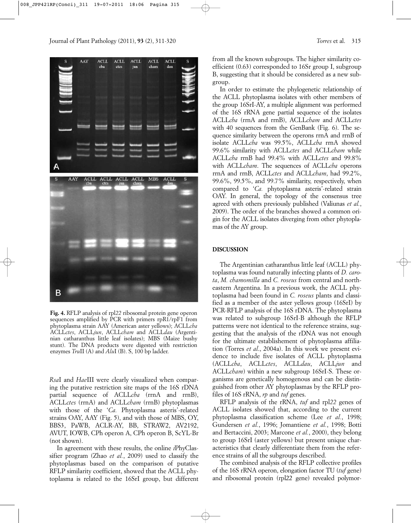

**Fig. 4.** RFLP analysis of rpl*22* ribosomal protein gene operon sequences amplified by PCR with primers rpR1/rpF1 from phytoplasma strain AAY (American aster yellows); ACLL*cba* ACLL*ctes*, ACLL*jun*, ACLL*cham* and ACLL*dau* (Argentinian catharanthus little leaf isolates); MBS (Maize bushy stunt). The DNA products were digested with restriction enzymes *Tru*II (A) and *Alu*I (B). S, 100 bp ladder.

*Rsa*I and *Hae*III were clearly visualized when comparing the putative restriction site maps of the 16S rDNA partial sequence of ACLL*cba* (rrnA and rrnB), ACLL*ctes* (rrnA) and ACLL*cham* (rrnB) phytoplasmas with those of the '*Ca.* Phytoplasma asteris'-related strains OAY, AAY (Fig. 5), and with those of MBS, OY, BBS3, PaWB, ACLR-AY, BB, STRAW2, AV2192, AVUT, IOWB, CPh operon A, CPh operon B, ScYL-Br (not shown).

In agreement with these results, the online *i*PhyClassifier program (Zhao *et al.*, 2009) used to classify the phytoplasmas based on the comparison of putative RFLP similarity coefficient, showed that the ACLL phytoplasma is related to the 16SrI group, but different from all the known subgroups. The higher similarity coefficient (0.63) corresponded to 16Sr group I, subgroup B, suggesting that it should be considered as a new subgroup.

In order to estimate the phylogenetic relationship of the ACLL phytoplasma isolates with other members of the group 16SrI-AY, a multiple alignment was performed of the 16S rRNA gene partial sequence of the isolates ACLL*cba* (rrnA and rrnB), ACLL*cham* and ACLL*ctes* with 40 sequences from the GenBank (Fig. 6). The sequence similarity between the operons rrnA and rrnB of isolate ACLL*cba* was 99.5%, ACLL*cba* rrnA showed 99.6% similarity with ACLL*ctes* and ACLL*cham* while ACLL*cba* rrnB had 99.4% with ACLL*ctes* and 99.8% with ACLL*cham*. The sequences of ACLL*cba* operons rrnA and rrnB, ACLL*ctes* and ACLL*cham*, had 99.2%, 99.6%, 99.5%, and 99.7% similarity, respectively, when compared to '*Ca.* phytoplasma asteris'-related strain OAY. In general, the topology of the consensus tree agreed with others previously published (Valiunas *et al.*, 2009). The order of the branches showed a common origin for the ACLL isolates diverging from other phytoplamas of the AY group.

## **DISCUSSION**

The Argentinian catharanthus little leaf (ACLL) phytoplasma was found naturally infecting plants of *D. carota*, *M. chamomilla* and *C. roseus* from central and northeastern Argentina. In a previous work, the ACLL phytoplasma had been found in *C. roseus* plants and classified as a member of the aster yellows group (16SrI) by PCR-RFLP analysis of the 16S rDNA. The phytoplasma was related to subgroup 16SrI-B although the RFLP patterns were not identical to the reference strains, suggesting that the analysis of the rDNA was not enough for the ultimate establishement of phytoplasma affiliation (Torres *et al*., 2004a). In this work we present evidence to include five isolates of ACLL phytoplasma (ACLL*cba*, ACLL*ctes*, ACLL*dau*, ACLL*jun* and ACLL*cham*) within a new subgroup 16SrI-S. These organisms are genetically homogenous and can be distinguished from other AY phytoplasmas by the RFLP profiles of 16S rRNA, *rp* and *tuf* genes.

RFLP analysis of the rRNA, *tuf* and rpl*22* genes of ACLL isolates showed that, according to the current phytoplasma classification scheme (Lee *et al.*, 1998; Gundersen *et al.*, 1996; Jomantiene *et al.*, 1998; Botti and Bertaccini, 2003; Marcone *et al.*, 2000), they belong to group 16SrI (aster yellows) but present unique characteristics that clearly differentiate them from the reference strains of all the subgroups described.

The combined analysis of the RFLP collective profiles of the 16S rRNA operon, elongation factor TU (*tuf* gene) and ribosomal protein (rpl22 gene) revealed polymor-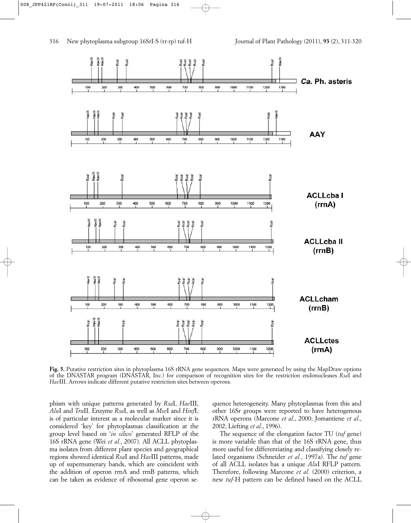

**Fig. 5.** Putative restriction sites in phytoplasma 16S rRNA gene sequences. Maps were generated by using the MapDraw options of the DNASTAR program (DNASTAR, Inc.) for comparison of recognition sites for the restriction endonucleases *Rsa*I and *Hae*III. Arrows indicate different putative restriction sites between operons.

phism with unique patterns generated by *Rsa*I, *Hae*III, *Alu*I and *Tru*II. Enzyme *Rsa*I, as well as *Mse*I and *Hinf*I, is of particular interest as a molecular marker since it is considered 'key' for phytoplasmas classification at the group level based on '*in silico*' generated RFLP of the 16S rRNA gene (Wei *et al.*, 2007). All ACLL phytoplasma isolates from different plant species and geographical regions showed identical *Rsa*I and *Hae*III patterns, made up of supernumerary bands, which are coincident with the addition of operon rrnA and rrnB patterns, which can be taken as evidence of ribosomal gene operon se-

quence heterogeneity. Many phytoplasmas from this and other 16Sr groups were reported to have heterogenous rRNA operons (Marcone *et al*., 2000; Jomantiene *et al*., 2002; Liefting *et al*., 1996).

The sequence of the elongation factor TU (*tuf* gene) is more variable than that of the 16S rRNA gene, thus more useful for differentiating and classifying closely related organisms (Schneider *et al.*, 1997a). The *tuf* gene of all ACLL isolates has a unique *Alu*I RFLP pattern. Therefore, following Marcone *et al.* (2000) criterion, a new *tuf*-H pattern can be defined based on the ACLL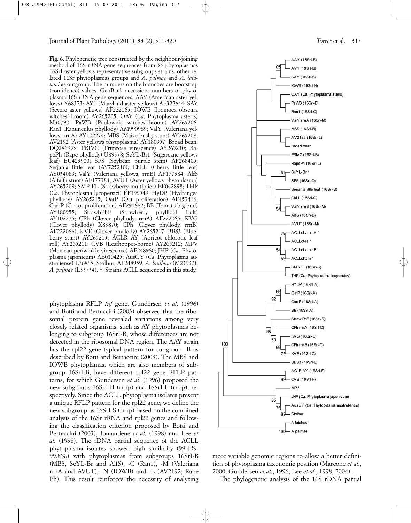**Fig. 6.** Phylogenetic tree constructed by the neighbour-joining method of 16S rRNA gene sequences from 33 phytoplasmas 16SrI-aster yellows representative subgroups strains, other related 16Sr phytoplasmas groups and *A. palmae* and *A. laidlawi* as outgroup. The numbers on the branches are bootstrap (confidence) values. GenBank accessions numbers of phytoplasma 16S rRNA gene sequences: AAY (American aster yellows) X68373; AY1 (Maryland aster yellows) AF322644; SAY (Severe aster yellows) AF222063; IOWB (Ipomoea obscura witches'-broom) AY265205; OAY (*Ca*. Phytoplasma asteris) M30790; PaWB (Paulownia witches'-broom) AY265206; Ran1 (Ranunculus phyllody) AM990989; ValY (Valeriana yellows, rrnA) AY102274; MBS (Maize bushy stunt) AY265208; AV2192 (Aster yellows phytoplasma) AY180957; Broad bean, DQ286953; PRIVC (Primrose virescence) AY265210; RapePh (Rape phyllody) U89378; ScYL-Br1 (Sugarcane yellows leaf) EU423900; SPS (Soybean purple stem) AF268405; Serjania little leaf (AY725210); ChLL (Cherry little leaf) AY034089; ValY (Valeriana yellows, rrnB) AF177384; AlfS (Alfalfa stunt) AF177384; AVUT (Aster yellows phytoplasma) AY265209; SMP-FL (Strawberry multiplier) EF042898; THP (*Ca*. Phytoplasma lycopersici) EF199549; HyDP (Hydrangea phyllody) AY265215; OatP (Oat proliferation) AF453416; CarrP (Carrot proliferation) AF291682; BB (Tomato big bud) AY180955; StrawbPhF (Strawberry phyllloid fruit) AY102275; CPh (Clover phyllody, rrnA) AF222065; KVG (Clover phyllody) X83870; CPh (Clover phyllody, rrnB) AF222066); KVE (Clover phyllody) AY265217; BBS3 (Blueberry stunt) AY265213; ACLR AY (Apricot chlorotic leaf roll) AY265211; CVB (Leafhopper-borne) AY265212; MPV (Mexican periwinkle virescence) AF248960; JHP (*Ca*. Phytoplasma japonicum) AB010425; AusGY (*Ca*. Phytoplasma australiense) L76865; Stolbur, AF248959; *A. laidlawi* (M23932); *A. palmae* (L33734). \*: Strains ACLL sequenced in this study.

phytoplasma RFLP *tuf* gene. Gundersen *et al.* (1996) and Botti and Bertaccini (2003) observed that the ribosomal protein gene revealed variations among very closely related organisms, such as AY phytoplasmas belonging to subgroup 16SrI-B, whose differences are not detected in the ribosomal DNA region. The AAY strain has the rpl*22* gene typical pattern for subgroup -B as described by Botti and Bertaccini (2003). The MBS and IOWB phytoplamas, which are also members of subgroup 16SrI-B, have different rpl*22* gene RFLP patterns, for which Gundersen *et al*. (1996) proposed the new subgroups 16SrI-H (rr-rp) and 16SrI-F (rr-rp), respectively. Since the ACLL phytoplasma isolates present a unique RFLP pattern for the rpl22 gene, we define the new subgroup as 16SrI-S (rr-rp) based on the combined analysis of the 16Sr rRNA and rpl22 genes and following the classification criterion proposed by Botti and Bertaccini (2003), Jomantiene *et al.* (1998) and Lee *et al.* (1998). The rDNA partial sequence of the ACLL phytoplasma isolates showed high similarity (99.4%- 99.8%) with phytoplasmas from subgroups 16SrI-B (MBS, ScYL-Br and AlfS), -C (Ran1), -M (Valeriana rrnA and AVUT), -N (IOWB) and -L (AV2192; Rape Ph). This result reinforces the necessity of analyzing



more variable genomic regions to allow a better definition of phytoplasma taxonomic position (Marcone *et al.*, 2000; Gundersen *et al.*, 1996; Lee *et al.*, 1998, 2004).

The phylogenetic analysis of the 16S rDNA partial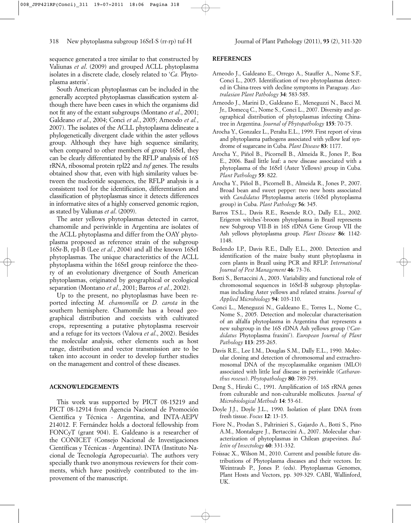sequence generated a tree similar to that constructed by Valiunas *et al*. (2009) and grouped ACLL phytoplasma isolates in a discrete clade, closely related to '*Ca.* Phytoplasma asteris'.

South American phytoplasmas can be included in the generally accepted phytoplasmas classification system although there have been cases in which the organisms did not fit any of the extant subgroups (Montano *et al*., 2001; Galdeano *et al*., 2004; Conci *et al*., 2005; Arneodo *et al.*, 2007). The isolates of the ACLL phytoplasma delineate a phylogenetically divergent clade within the aster yellows group. Although they have high sequence similarity, when compared to other members of group 16SrI, they can be clearly differentiated by the RFLP analysis of 16S rRNA, ribosomal protein rpl22 and *tuf* genes. The results obtained show that, even with high similarity values between the nucleotide sequences, the RFLP analysis is a consistent tool for the identification, differentiation and classification of phytoplasmas since it detects differences in informative sites of a highly conserved genomic region, as stated by Valiunas *et al*. (2009).

The aster yellows phytoplasmas detected in carrot, chamomile and periwinkle in Argentina are isolates of the ACLL phytoplasma and differ from the OAY phytoplasma proposed as reference strain of the subgroup 16Sr-B, rpI-B (Lee *et al.*, 2004) and all the known 16SrI phytoplasmas. The unique characteristics of the ACLL phytoplasma within the 16SrI group reinforce the theory of an evolutionary divergence of South American phytoplasmas, originated by geographical or ecological separation (Montano *et al*., 2001; Barros *et al.*, 2002).

Up to the present, no phytoplasmas have been reported infecting *M. chamomilla* or *D. carota* in the southern hemisphere. Chamomile has a broad geographical distribution and coexists with cultivated crops, representing a putative phytoplasma reservoir and a refuge for its vectors (Valova *et al*., 2002). Besides the molecular analysis, other elements such as host range, distribution and vector transmission are to be taken into account in order to develop further studies on the management and control of these diseases.

## **ACKNOWLEDGEMENTS**

This work was supported by PICT 08-15219 and PICT 08-12914 from Agencia Nacional de Promoción Científica y Técnica - Argentina, and INTA-AEPV 214012. F. Fernández holds a doctoral fellowship from FONCyT (grant 904). E. Galdeano is a researcher of the CONICET (Consejo Nacional de Investigaciones Científicas y Técnicas - Argentina). INTA (Instituto Nacional de Tecnología Agropecuaria). The authors very specially thank two anonymous reviewers for their comments, which have positively contributed to the improvement of the manuscript.

## **REFERENCES**

- Arneodo J., Galdeano E., Orrego A., Stauffer A., Nome S.F., Conci L., 2005. Identification of two phytoplasmas detected in China-trees with decline symptoms in Paraguay. *Australasian Plant Pathology* **34**: 583-585.
- Arneodo J., Marini D., Galdeano E., Meneguzzi N., Bacci M. Jr., Domecq C., Nome S., Conci L., 2007. Diversity and geographical distribution of phytoplasmas infecting Chinatree in Argentina. *Journal of Phytopathology* **155**: 70-75.
- Arocha Y., Gonzalez L., Peralta E.L., 1999. First report of virus and phytoplasma pathogens associated with yellow leaf syndrome of sugarcane in Cuba. *Plant Disease* **83**: 1177.
- Arocha Y., Piñol B., Picornell B., Almeida R., Jones P., Boa E., 2006. Basil little leaf: a new disease associated with a phytoplasma of the 16SrI (Aster Yellows) group in Cuba. *Plant Pathology* **55**: 822.
- Arocha Y., Piñol B., Picornell B., Almeida R., Jones P., 2007. Broad bean and sweet pepper: two new hosts associated with *Candidatus* Phytoplasma asteris (16SrI phytoplasma group) in Cuba. *Plant Pathology* **56**: 345.
- Barros T.S.L., Davis R.E., Resende R.O., Dally E.L., 2002. Erigeron witches'-broom phytoplasma in Brazil represents new Subgroup VII-B in 16S rDNA Gene Group VII the Ash yellows phytoplasma group. *Plant Disease* **86**: 1142- 1148.
- Bedendo I.P., Davis R.E., Dally E.L., 2000. Detection and identification of the maize bushy stunt phytoplasma in corn plants in Brazil using PCR and RFLP. *International Journal of Pest Management* **46**: 73-76.
- Botti S., Bertaccini A., 2003. Variability and functional role of chromosomal sequences in 16SrI-B subgroup phytoplasmas including Aster yellows and related strains. *Journal of Applied Microbiology* **94**: 103-110.
- Conci L., Meneguzzi N., Galdeano E., Torres L., Nome C., Nome S., 2005. Detection and molecular characterisation of an alfalfa phytoplasma in Argentina that represents a new subgroup in the 16S rDNA Ash yellows group ('*Candidatus* Phytoplasma fraxini'). *European Journal of Plant Pathology* **113**: 255-265.
- Davis R.E., Lee I.M., Douglas S.M., Dally E.L., 1990. Molecular cloning and detection of chromosomal and extrachromosomal DNA of the mycoplasmalike organism (MLO) associated with little leaf disease in periwinkle (*Catharanthus roseus*). *Phytopathology* **80**: 789-793.
- Deng S., Hiruki C., 1991. Amplification of 16S rRNA genes from culturable and non-culturable mollicutes. *Journal of Microbiological Methods* **14**: 53-61.
- Doyle J.J., Doyle J.L., 1990. Isolation of plant DNA from fresh tissue. *Focus* **12**: 13-15.
- Fiore N., Prodan S., Paltrinieri S., Gajardo A., Botti S., Pino A.M., Montalegre J., Bertaccini A., 2007. Molecular characterization of phytoplasmas in Chilean grapevines. *Bulletin of Insectology* **60**: 331-332.
- Foissac X., Wilson M., 2010. Current and possible future distributions of Phytoplasma diseases and their vectors. In: Weintraub P., Jones P. (eds). Phytoplasmas Genomes, Plant Hosts and Vectors, pp. 309-329. CABI, Wallinford, UK.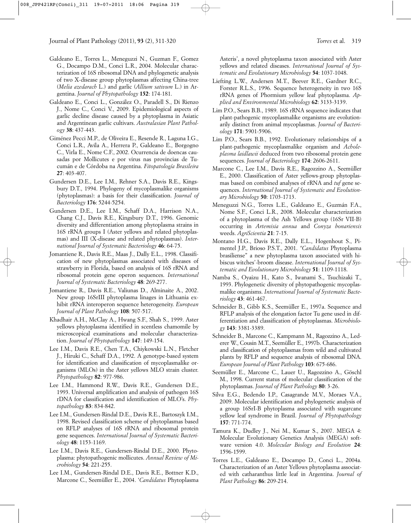- Galdeano E., Torres L., Meneguzzi N., Guzman F., Gomez G., Docampo D.M., Conci L.R., 2004. Molecular characterization of 16S ribosomal DNA and phylogenetic analysis of two X-disease group phytoplasmas affecting China-tree (*Melia azedarach* L.) and garlic (*Allium sativum* L.) in Argentina. *Journal of Phytopathology* **152**: 174-181.
- Galdeano E., Conci L., González O., Paradell S., Di Rienzo J., Nome C., Conci V., 2009. Epidemiological aspects of garlic decline disease caused by a phytoplasma in Asiatic and Argentinean garlic cultivars. *Australasian Plant Pathology* **38**: 437-443.
- Giménez Pecci M.P., de Oliveira E., Resende R., Laguna I.G., Conci L.R., Avila A., Herrera P., Galdeano E., Borgogno C., Virla E., Nome C.F., 2002. Ocurrencia de doencas causadas por Mollicutes e por virus nas provincias de Tucumán e de Córdoba na Argentina. *Fitopatología Brasileira* **27**: 403-407.
- Gundersen D.E., Lee I.M., Rehner S.A., Davis R.E., Kingsbury D.T., 1994. Phylogeny of mycoplasmalike organisms (phytoplasmas): a basis for their classification. *Journal of Bacteriology* **176**: 5244-5254.
- Gundersen D.E., Lee I.M., Schaff D.A., Harrison N.A., Chang C.J., Davis R.E., Kingsbury D.T., 1996. Genomic diversity and differentiation among phytoplasma strains in 16S rRNA groups I (Aster yellows and related phytoplasmas) and III (X-disease and related phytoplasmas). *International Journal of Systematic Bacteriology* **46**: 64-75.
- Jomantiene R., Davis R.E., Maas J., Dally E.L., 1998. Classification of new phytoplasmas associated with diseases of strawberry in Florida, based on analysis of 16S rRNA and ribosomal protein gene operon sequences. *International Journal of Systematic Bacteriology* **48**: 269-277.
- Jomantiene R., Davis R.E., Valiunas D., Alminaite A., 2002. New group 16SrIII phytoplasma linages in Lithuania exhibit rRNA interoperon sequence heterogeneity. *European Journal of Plant Pathology* **108**: 507-517.
- Khadhair A.H., McClay A., Hwang S.F., Shah S., 1999. Aster yellows phytoplasma identified in scentless chamomile by microscopical examinations and molecular characterization. *Journal of Phytopathology* **147**: 149-154.
- Lee I.M., Davis R.E., Chen T.A., Chiykowski L.N., Fletcher J., Hiruki C., Schaff D.A., 1992. A genotype-based system for identification and classification of mycoplasmalike organisms (MLOs) in the Aster yellows MLO strain cluster. *Phytopathology* **82**: 977-986.
- Lee I.M., Hammond R.W., Davis R.E., Gundersen D.E., 1993. Universal amplification and analysis of pathogen 16S rDNA for classification and identification of MLO's. *Phytopathology* **83**: 834-842.
- Lee I.M., Gundersen-Rindal D.E., Davis R.E., Bartoszyk I.M., 1998. Revised classification scheme of phytoplasmas based on RFLP analyses of 16S rRNA and ribosomal protein gene sequences. *International Journal of Systematic Bacteriology* **48**: 1153-1169.
- Lee I.M., Davis R.E., Gundersen-Rindal D.E., 2000. Phytoplasma: phytopathogenic mollicutes. *Annual Review of Microbiology* **54**: 221-255.
- Lee I.M., Gundersen-Rindal D.E., Davis R.E., Bottner K.D., Marcone C., Seemüller E., 2004. '*Candidatus* Phytoplasma

Asteris', a novel phytoplasma taxon associated with Aster yellows and related diseases. *International Journal of Systematic and Evolutionary Microbiology* **54**: 1037-1048.

- Liefting L.W., Andersen M.T., Beever R.E., Gardner R.C., Forster R.L.S., 1996. Sequence heterogeneity in two 16S rRNA genes of Phormium yellow leaf phytoplasma. *Applied and Environmental Microbiology* **62**: 3133-3139.
- Lim P.O., Sears B.B., 1989. 16S rRNA sequence indicates that plant-pathogenic mycoplasmalike organisms are evolutionarily distinct from animal mycoplasmas. *Journal of Bacteriology* **171**: 5901-5906.
- Lim P.O., Sears B.B., 1992. Evolutionary relationships of a plant-pathogenic mycoplasmalike organism and *Acholeplasma laidlawii* deduced from two ribosomal protein gene sequences. *Journal of Bacteriology* **174**: 2606-2611.
- Marcone C., Lee I.M., Davis R.E., Ragozzino A., Seemüller E., 2000. Classification of Aster yellows-group phytoplasmas based on combined analyses of rRNA and *tuf* gene sequences. *International Journal of Systematic and Evolutionary Microbiology* **50**: 1703-1713.
- Meneguzzi N.G., Torres L.E., Galdeano E., Guzmán F.A., Nome S.F., Conci L.R., 2008. Molecular characterization of a phytoplasma of the Ash Yellows group (16Sr VII-B) occurring in *Artemisia annua* and *Conyza bonariensis* weeds. *AgriScientia* **21**: 7-15.
- Montano H.G., Davis R.E., Dally E.L., Hogenhout S., Pimentel J.P., Brioso P.S.T., 2001. *"Candidatus* Phytoplasma brasiliense'' a new phytoplasma taxon associated with hibiscus witches'-broom disease. *International Journal of Systematic and Evolutionary Microbiology* **51**: 1109-1118.
- Namba S., Oyaizu H., Kato S., Iwanami S., Tsuchizaki T., 1993. Phylogenetic diversity of phytopathogenic mycoplasmalike organisms. *International Journal of Systematic Bacteriology* **43**: 461-467.
- Schneider B., Gibb K.S., Seemüller E., 1997a. Sequence and RFLP analysis of the elongation factor Tu gene used in differentiation and classification of phytoplasmas. *Microbiology* **143**: 3381-3389.
- Schneider B., Marcone C., Kampmann M., Ragozzino A., Lederer W., Cousin M.T., Seemüller E., 1997b. Characterization and classification of phytoplasmas from wild and cultivated plants by RFLP and sequence analysis of ribosomal DNA. *European Journal of Plant Pathology* **103**: 675-686.
- Seemüller E., Marcone C., Lauer U., Ragozzino A., Göschl M., 1998. Current status of molecular classification of the phytoplasmas. *Journal of Plant Pathology* **80**: 3-26.
- Silva E.G., Bedendo I.P., Casagrande M.V., Moraes V.A., 2009. Molecular identification and phylogenetic analysis of a group 16SrI-B phytoplasma associated with sugarcane yellow leaf syndrome in Brazil. *Journal of Phytopathology* **157**: 771-774.
- Tamura K., Dudley J., Nei M., Kumar S., 2007. MEGA 4: Molecular Evolutionary Genetics Analysis (MEGA) software version 4.0. *Molecular Biology and Evolution* **24**: 1596-1599.
- Torres L.E., Galdeano E., Docampo D., Conci L., 2004a. Characterization of an Aster Yellows phytoplasma associated with catharanthus little leaf in Argentina. *Journal of Plant Pathology* **86**: 209-214.